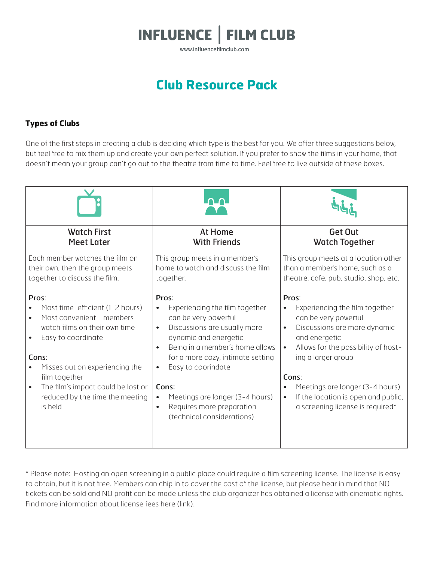

www.influencefilmclub.com

# **Club Resource Pack**

## **Types of Clubs**

One of the first steps in creating a club is deciding which type is the best for you. We offer three suggestions below, but feel free to mix them up and create your own perfect solution. If you prefer to show the films in your home, that doesn't mean your group can't go out to the theatre from time to time. Feel free to live outside of these boxes.

| <b>Watch First</b>                                                                                                                                                                                                                                                           | <b>At Home</b>                                                                                                                                                                                                                                                                                                                                                                                              | Get Out                                                                                                                                                                                                                                                                                                                                                               |
|------------------------------------------------------------------------------------------------------------------------------------------------------------------------------------------------------------------------------------------------------------------------------|-------------------------------------------------------------------------------------------------------------------------------------------------------------------------------------------------------------------------------------------------------------------------------------------------------------------------------------------------------------------------------------------------------------|-----------------------------------------------------------------------------------------------------------------------------------------------------------------------------------------------------------------------------------------------------------------------------------------------------------------------------------------------------------------------|
| <b>Meet Later</b>                                                                                                                                                                                                                                                            | <b>With Friends</b>                                                                                                                                                                                                                                                                                                                                                                                         | <b>Watch Together</b>                                                                                                                                                                                                                                                                                                                                                 |
| Each member watches the film on                                                                                                                                                                                                                                              | This group meets in a member's                                                                                                                                                                                                                                                                                                                                                                              | This group meets at a location other                                                                                                                                                                                                                                                                                                                                  |
| their own, then the group meets                                                                                                                                                                                                                                              | home to watch and discuss the film                                                                                                                                                                                                                                                                                                                                                                          | than a member's home, such as a                                                                                                                                                                                                                                                                                                                                       |
| together to discuss the film.                                                                                                                                                                                                                                                | together.                                                                                                                                                                                                                                                                                                                                                                                                   | theatre, cafe, pub, studio, shop, etc.                                                                                                                                                                                                                                                                                                                                |
| Pros:<br>Most time-efficient (1-2 hours)<br>Most convenient - members<br>watch films on their own time<br>Easy to coordinate<br>Cons:<br>Misses out on experiencing the<br>film together<br>The film's impact could be lost or<br>reduced by the time the meeting<br>is held | Pros:<br>Experiencing the film together<br>$\bullet$<br>can be very powerful<br>Discussions are usually more<br>$\bullet$<br>dynamic and energetic<br>Being in a member's home allows<br>$\bullet$<br>for a more cozy, intimate setting<br>Easy to coorindate<br>$\bullet$<br>Cons:<br>Meetings are longer (3-4 hours)<br>$\bullet$<br>Requires more preparation<br>$\bullet$<br>(technical considerations) | Pros:<br>Experiencing the film together<br>$\bullet$<br>can be very powerful<br>Discussions are more dynamic<br>$\bullet$<br>and energetic<br>Allows for the possibility of host-<br>$\bullet$<br>ing a larger group<br>Cons:<br>Meetings are longer (3-4 hours)<br>$\bullet$<br>If the location is open and public,<br>$\bullet$<br>a screening license is required* |

\* Please note: Hosting an open screening in a public place could require a film screening license. The license is easy to obtain, but it is not free. Members can chip in to cover the cost of the license, but please bear in mind that NO tickets can be sold and NO profit can be made unless the club organizer has obtained a license with cinematic rights. Find more information about license fees here (link).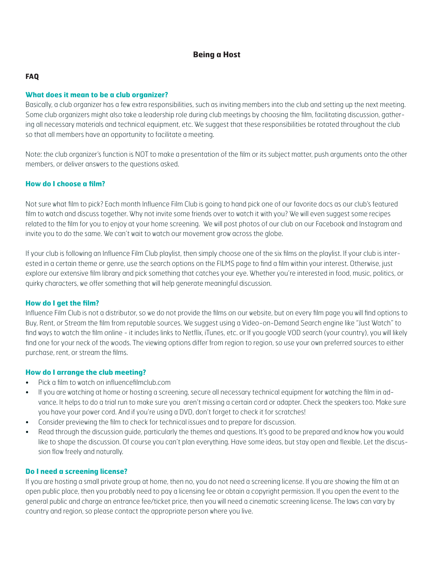## **Being a Host**

#### **FAQ**

#### **What does it mean to be a club organizer?**

Basically, a club organizer has a few extra responsibilities, such as inviting members into the club and setting up the next meeting. Some club organizers might also take a leadership role during club meetings by choosing the film, facilitating discussion, gathering all necessary materials and technical equipment, etc. We suggest that these responsibilities be rotated throughout the club so that all members have an opportunity to facilitate a meeting.

Note: the club organizer's function is NOT to make a presentation of the film or its subject matter, push arguments onto the other members, or deliver answers to the questions asked.

#### **How do I choose a film?**

Not sure what film to pick? Each month Influence Film Club is going to hand pick one of our favorite docs as our club's featured film to watch and discuss together. Why not invite some friends over to watch it with you? We will even suggest some recipes related to the film for you to enjoy at your home screening. We will post photos of our club on our Facebook and Instagram and invite you to do the same. We can't wait to watch our movement grow across the globe.

If your club is following an Influence Film Club playlist, then simply choose one of the six films on the playlist. If your club is interested in a certain theme or genre, use the search options on the FILMS page to find a film within your interest. Otherwise, just explore our extensive film library and pick something that catches your eye. Whether you're interested in food, music, politics, or quirky characters, we offer something that will help generate meaningful discussion.

#### **How do I get the film?**

Influence Film Club is not a distributor, so we do not provide the films on our website, but on every film page you will find options to Buy, Rent, or Stream the film from reputable sources. We suggest using a Video-on-Demand Search engine like "Just Watch" to find ways to watch the film online - it includes links to Netflix, iTunes, etc. or If you google VOD search (your country), you will likely find one for your neck of the woods. The viewing options differ from region to region, so use your own preferred sources to either purchase, rent, or stream the films.

#### **How do I arrange the club meeting?**

- Pick a film to watch on influencefilmclub.com
- If you are watching at home or hosting a screening, secure all necessary technical equipment for watching the film in advance. It helps to do a trial run to make sure you aren't missing a certain cord or adapter. Check the speakers too. Make sure you have your power cord. And if you're using a DVD, don't forget to check it for scratches!
- Consider previewing the film to check for technical issues and to prepare for discussion.
- Read through the discussion guide, particularly the themes and questions. It's good to be prepared and know how you would like to shape the discussion. Of course you can't plan everything. Have some ideas, but stay open and flexible. Let the discussion flow freely and naturally.

#### **Do I need a screening license?**

If you are hosting a small private group at home, then no, you do not need a screening license. If you are showing the film at an open public place, then you probably need to pay a licensing fee or obtain a copyright permission. If you open the event to the general public and charge an entrance fee/ticket price, then you will need a cinematic screening license. The laws can vary by country and region, so please contact the appropriate person where you live.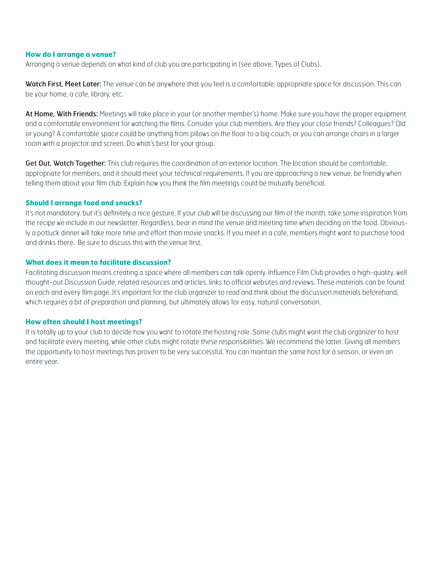#### **How do I arrange a venue?**

Arranging a venue depends on what kind of club you are participating in (see above, Types of Clubs).

Watch First, Meet Later: The venue can be anywhere that you feel is a comfortable, appropriate space for discussion. This can be your home, a cafe, library, etc.

At Home, With Friends: Meetings will take place in your (or another member's) home. Make sure you have the proper equipment and a comfortable environment for watching the films. Consider your club members. Are they your close friends? Colleagues? Old or young? A comfortable space could be anything from pillows on the floor to a big couch, or you can arrange chairs in a larger room with a projector and screen. Do what's best for your group.

Get Out, Watch Together: This club requires the coordination of an exterior location. The location should be comfortable, appropriate for members, and it should meet your technical requirements. If you are approaching a new venue, be friendly when telling them about your film club. Explain how you think the film meetings could be mutually beneficial.

#### **Should I arrange food and snacks?**

It's not mandatory, but it's definitely a nice gesture. If your club will be discussing our film of the month, take some inspiration from the recipe we include in our newsletter. Regardless, bear in mind the venue and meeting time when deciding on the food. Obviously a potluck dinner will take more time and effort than movie snacks. If you meet in a cafe, members might want to purchase food and drinks there. Be sure to discuss this with the venue first.

#### **What does it mean to facilitate discussion?**

Facilitating discussion means creating a space where all members can talk openly. Influence Film Club provides a high-quality, well thought-out Discussion Guide, related resources and articles, links to official websites and reviews. These materials can be found on each and every film page. It's important for the club organizer to read and think about the discussion materials beforehand, which requires a bit of preparation and planning, but ultimately allows for easy, natural conversation.

#### **How often should I host meetings?**

It is totally up to your club to decide how you want to rotate the hosting role. Some clubs might want the club organizer to host and facilitate every meeting, while other clubs might rotate these responsibilities. We recommend the latter. Giving all members the opportunity to host meetings has proven to be very successful. You can maintain the same host for a season, or even an entire year.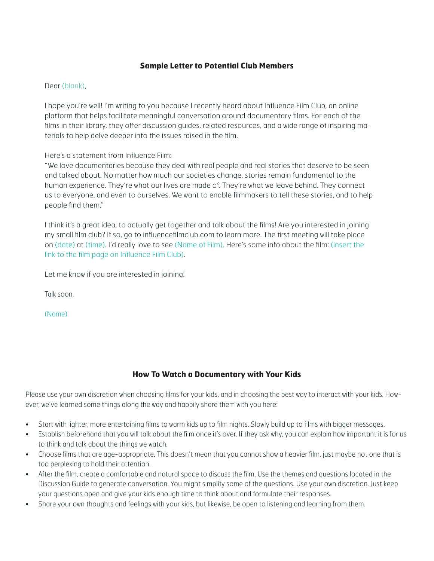## **Sample Letter to Potential Club Members**

### Dear (blank),

I hope you're well! I'm writing to you because I recently heard about Influence Film Club, an online platform that helps facilitate meaningful conversation around documentary films. For each of the films in their library, they offer discussion guides, related resources, and a wide range of inspiring materials to help delve deeper into the issues raised in the film.

Here's a statement from Influence Film:

"We love documentaries because they deal with real people and real stories that deserve to be seen and talked about. No matter how much our societies change, stories remain fundamental to the human experience. They're what our lives are made of. They're what we leave behind. They connect us to everyone, and even to ourselves. We want to enable filmmakers to tell these stories, and to help people find them."

I think it's a great idea, to actually get together and talk about the films! Are you interested in joining my small film club? If so, go to influencefilmclub.com to learn more. The first meeting will take place on (date) at (time). I'd really love to see (Name of Film). Here's some info about the film: (insert the link to the film page on Influence Film Club).

Let me know if you are interested in joining!

Talk soon,

(Name)

## **How To Watch a Documentary with Your Kids**

Please use your own discretion when choosing films for your kids, and in choosing the best way to interact with your kids. However, we've learned some things along the way and happily share them with you here:

- Start with lighter, more entertaining films to warm kids up to film nights. Slowly build up to films with bigger messages.
- Establish beforehand that you will talk about the film once it's over. If they ask why, you can explain how important it is for us to think and talk about the things we watch.
- Choose films that are age-appropriate. This doesn't mean that you cannot show a heavier film, just maybe not one that is too perplexing to hold their attention.
- After the film, create a comfortable and natural space to discuss the film. Use the themes and questions located in the Discussion Guide to generate conversation. You might simplify some of the questions. Use your own discretion. Just keep your questions open and give your kids enough time to think about and formulate their responses.
- Share your own thoughts and feelings with your kids, but likewise, be open to listening and learning from them.